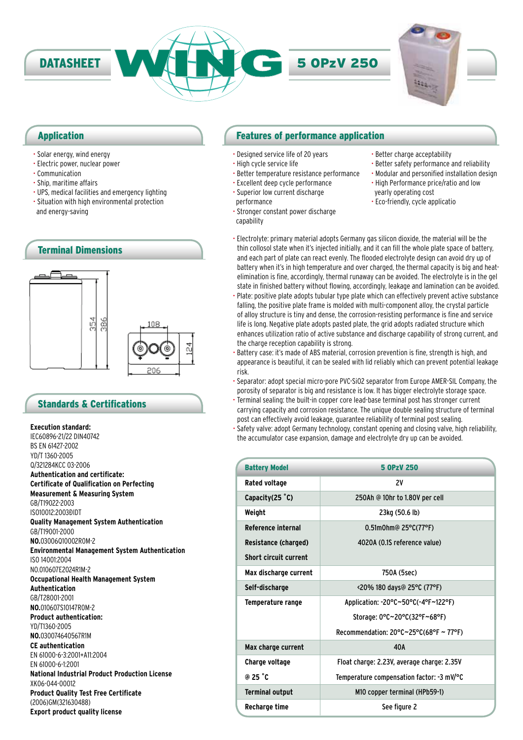

### Application

- Solar energy, wind energy
- Electric power, nuclear power
- Communication
- Ship, maritime affairs
- UPS, medical facilities and emergency lighting
- Situation with high environmental protection and energy-saving



# Standards & Certifications

**Execution standard:** IEC60896-21/22 DIN40742 BS EN 61427-2002 YD/T 1360-2005 Q/321284KCC 03-2006 **Authentication and certificate: Certificate of Qualification on Perfecting Measurement & Measuring System** GB/T19022-2003 ISO10012:2003ÐIDT **Quality Management System Authentication** GB/T19001-2000 **NO.**03006Q10002R0M-2 **Environmental Management System Authentication** ISO 14001:2004 NO.010607E2024R1M-2 **Occupational Health Management System Authentication** GB/T28001-2001 **NO.**010607S10147R0M-2 **Product authentication:** YD/T1360-2005 **NO.**030074640567R1M **CE authentication** EN 61000-6-3:2001+A11:2004 EN 61000-6-1:2001 **National Industrial Product Production License** XK06-044-00012 **Product Quality Test Free Certificate** (2006)GM(321630488) **Export product quality license**

# Features of performance application

- Designed service life of 20 years
- High cycle service life
- Better temperature resistance performance
- Excellent deep cycle performance
- Superior low current discharge performance
- Stronger constant power discharge capability
- Better charge acceptability • Better safety performance and reliability
- Modular and personified installation design
- High Performance price/ratio and low yearly operating cost
- Eco-friendly, cycle applicatio
- Electrolyte: primary material adopts Germany gas silicon dioxide, the material will be the thin collosol state when it's injected initially, and it can fill the whole plate space of battery, and each part of plate can react evenly. The flooded electrolyte design can avoid dry up of battery when it's in high temperature and over charged, the thermal capacity is big and heatelimination is fine, accordingly, thermal runaway can be avoided. The electrolyte is in the gel state in finished battery without flowing, accordingly, leakage and lamination can be avoided.
- Plate: positive plate adopts tubular type plate which can effectively prevent active substance falling, the positive plate frame is molded with multi-component alloy, the crystal particle of alloy structure is tiny and dense, the corrosion-resisting performance is fine and service life is long. Negative plate adopts pasted plate, the grid adopts radiated structure which enhances utilization ratio of active substance and discharge capability of strong current, and the charge reception capability is strong.
- Battery case: it's made of ABS material, corrosion prevention is fine, strength is high, and appearance is beautiful, it can be sealed with lid reliably which can prevent potential leakage risk.
- Separator: adopt special micro-pore PVC-SiO2 separator from Europe AMER-SIL Company, the porosity of separator is big and resistance is low. It has bigger electrolyte storage space.
- Terminal sealing: the built-in copper core lead-base terminal post has stronger current carrying capacity and corrosion resistance. The unique double sealing structure of terminal post can effectively avoid leakage, guarantee reliability of terminal post sealing.
- Safety valve: adopt Germany technology, constant opening and closing valve, high reliability, the accumulator case expansion, damage and electrolyte dry up can be avoided.

| <b>Battery Model</b>         | 5 OPzV 250                                                   |  |
|------------------------------|--------------------------------------------------------------|--|
| Rated voltage                | 2V                                                           |  |
| Capacity(25 °C)              | 250Ah @ 10hr to 1.80V per cell                               |  |
| Weight                       | 23kg (50.6 lb)                                               |  |
| <b>Reference internal</b>    | $0.51$ m0hm@ 25°C(77°F)                                      |  |
| <b>Resistance (charged)</b>  | 4020A (0.1S reference value)                                 |  |
| <b>Short circuit current</b> |                                                              |  |
| Max discharge current        | 750A (5sec)                                                  |  |
| Self-discharge               | <20% 180 days@ 25°C (77°F)                                   |  |
| Temperature range            | Application: -20°C~50°C(-4°F~122°F)                          |  |
|                              | Storage: 0°C~20°C(32°F~68°F)                                 |  |
|                              | Recommendation: $20^{\circ}$ C $\sim$ 25°C(68°F $\sim$ 77°F) |  |
| Max charge current           | 40A                                                          |  |
| <b>Charge voltage</b>        | Float charge: 2.23V, average charge: 2.35V                   |  |
| @ 25 °C                      | Temperature compensation factor: -3 mV/°C                    |  |
| <b>Terminal output</b>       | M10 copper terminal (HPb59-1)                                |  |
| Recharge time                | See figure 2                                                 |  |